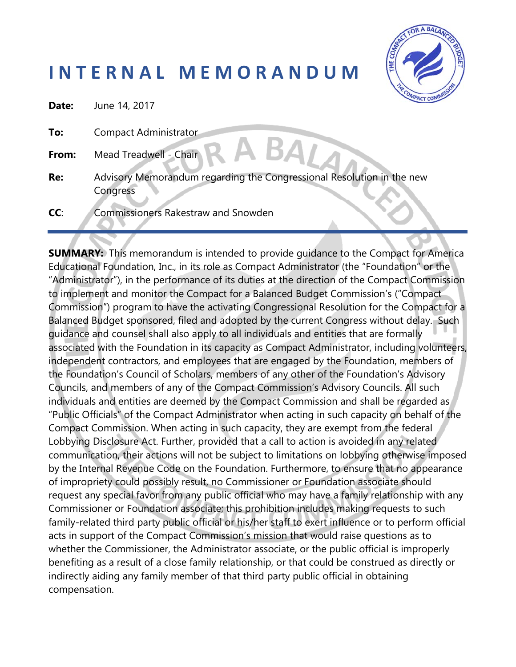## **I N T E R N A L M E M O R A N D U M**



| Date: | June 14, 2017                                                                     |  |
|-------|-----------------------------------------------------------------------------------|--|
| To:   | <b>Compact Administrator</b>                                                      |  |
| From: | A BAT<br>Mead Treadwell - Chair                                                   |  |
| Re:   | Advisory Memorandum regarding the Congressional Resolution in the new<br>Congress |  |
| CC:   | <b>Commissioners Rakestraw and Snowden</b>                                        |  |

**SUMMARY:** This memorandum is intended to provide guidance to the Compact for America Educational Foundation, Inc., in its role as Compact Administrator (the "Foundation" or the "Administrator"), in the performance of its duties at the direction of the Compact Commission to implement and monitor the Compact for a Balanced Budget Commission's ("Compact Commission") program to have the activating Congressional Resolution for the Compact for a Balanced Budget sponsored, filed and adopted by the current Congress without delay. Such guidance and counsel shall also apply to all individuals and entities that are formally associated with the Foundation in its capacity as Compact Administrator, including volunteers, independent contractors, and employees that are engaged by the Foundation, members of the Foundation's Council of Scholars, members of any other of the Foundation's Advisory Councils, and members of any of the Compact Commission's Advisory Councils. All such individuals and entities are deemed by the Compact Commission and shall be regarded as "Public Officials" of the Compact Administrator when acting in such capacity on behalf of the Compact Commission. When acting in such capacity, they are exempt from the federal Lobbying Disclosure Act. Further, provided that a call to action is avoided in any related communication, their actions will not be subject to limitations on lobbying otherwise imposed by the Internal Revenue Code on the Foundation. Furthermore, to ensure that no appearance of impropriety could possibly result, no Commissioner or Foundation associate should request any special favor from any public official who may have a family relationship with any Commissioner or Foundation associate; this prohibition includes making requests to such family-related third party public official or his/her staff to exert influence or to perform official acts in support of the Compact Commission's mission that would raise questions as to whether the Commissioner, the Administrator associate, or the public official is improperly benefiting as a result of a close family relationship, or that could be construed as directly or indirectly aiding any family member of that third party public official in obtaining compensation.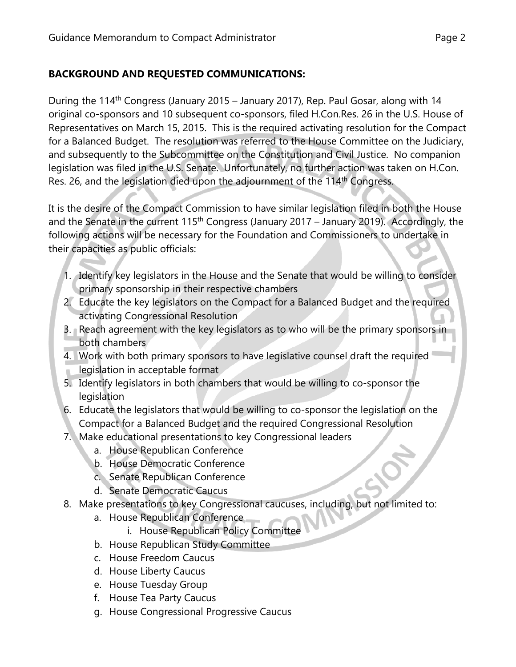## **BACKGROUND AND REQUESTED COMMUNICATIONS:**

During the 114<sup>th</sup> Congress (January 2015 – January 2017), Rep. Paul Gosar, along with 14 original co-sponsors and 10 subsequent co-sponsors, filed H.Con.Res. 26 in the U.S. House of Representatives on March 15, 2015. This is the required activating resolution for the Compact for a Balanced Budget. The resolution was referred to the House Committee on the Judiciary, and subsequently to the Subcommittee on the Constitution and Civil Justice. No companion legislation was filed in the U.S. Senate. Unfortunately, no further action was taken on H.Con. Res. 26, and the legislation died upon the adjournment of the 114<sup>th</sup> Congress.

It is the desire of the Compact Commission to have similar legislation filed in both the House and the Senate in the current 115<sup>th</sup> Congress (January 2017 – January 2019). Accordingly, the following actions will be necessary for the Foundation and Commissioners to undertake in their capacities as public officials:

- 1. Identify key legislators in the House and the Senate that would be willing to consider primary sponsorship in their respective chambers
- 2. Educate the key legislators on the Compact for a Balanced Budget and the required activating Congressional Resolution
- 3. Reach agreement with the key legislators as to who will be the primary sponsors in both chambers
- 4. Work with both primary sponsors to have legislative counsel draft the required legislation in acceptable format
- 5. Identify legislators in both chambers that would be willing to co-sponsor the legislation
- 6. Educate the legislators that would be willing to co-sponsor the legislation on the Compact for a Balanced Budget and the required Congressional Resolution
- 7. Make educational presentations to key Congressional leaders
	- a. House Republican Conference
	- b. House Democratic Conference
	- c. Senate Republican Conference
	- d. Senate Democratic Caucus
- 8. Make presentations to key Congressional caucuses, including, but not limited to:
	- a. House Republican Conference
		- i. House Republican Policy Committee
	- b. House Republican Study Committee
	- c. House Freedom Caucus
	- d. House Liberty Caucus
	- e. House Tuesday Group
	- f. House Tea Party Caucus
	- g. House Congressional Progressive Caucus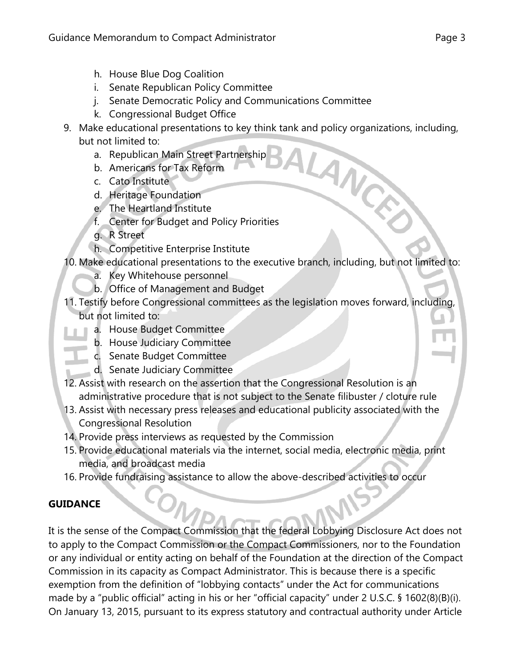- h. House Blue Dog Coalition
- i. Senate Republican Policy Committee
- j. Senate Democratic Policy and Communications Committee
- k. Congressional Budget Office
- 9. Make educational presentations to key think tank and policy organizations, including, ALANCE but not limited to:
	- a. Republican Main Street Partnership
	- b. Americans for Tax Reform
	- c. Cato Institute
	- d. Heritage Foundation
	- e. The Heartland Institute
	- f. Center for Budget and Policy Priorities
	- g. R Street
	- h. Competitive Enterprise Institute
- 10. Make educational presentations to the executive branch, including, but not limited to:
	- a. Key Whitehouse personnel
	- b. Office of Management and Budget
- 11. Testify before Congressional committees as the legislation moves forward, including, but not limited to:
	- a. House Budget Committee
		- b. House Judiciary Committee
	- c. Senate Budget Committee
	- d. Senate Judiciary Committee
- 12. Assist with research on the assertion that the Congressional Resolution is an administrative procedure that is not subject to the Senate filibuster / cloture rule
- 13. Assist with necessary press releases and educational publicity associated with the Congressional Resolution
- 14. Provide press interviews as requested by the Commission
- 15. Provide educational materials via the internet, social media, electronic media, print media, and broadcast media
- 16. Provide fundraising assistance to allow the above-described activities to occur

## **GUIDANCE**

It is the sense of the Compact Commission that the federal Lobbying Disclosure Act does not to apply to the Compact Commission or the Compact Commissioners, nor to the Foundation or any individual or entity acting on behalf of the Foundation at the direction of the Compact Commission in its capacity as Compact Administrator. This is because there is a specific exemption from the definition of "lobbying contacts" under the Act for communications made by a "public official" acting in his or her "official capacity" under 2 U.S.C. § 1602(8)(B)(i). On January 13, 2015, pursuant to its express statutory and contractual authority under Article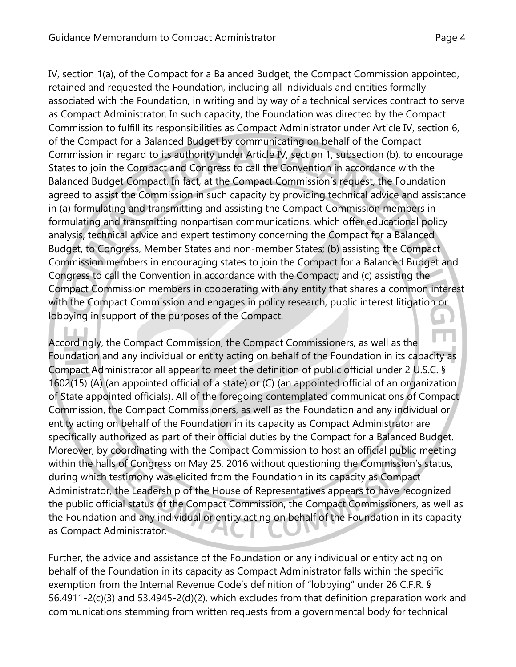IV, section 1(a), of the Compact for a Balanced Budget, the Compact Commission appointed, retained and requested the Foundation, including all individuals and entities formally associated with the Foundation, in writing and by way of a technical services contract to serve as Compact Administrator. In such capacity, the Foundation was directed by the Compact Commission to fulfill its responsibilities as Compact Administrator under Article IV, section 6, of the Compact for a Balanced Budget by communicating on behalf of the Compact Commission in regard to its authority under Article IV, section 1, subsection (b), to encourage States to join the Compact and Congress to call the Convention in accordance with the Balanced Budget Compact. In fact, at the Compact Commission's request, the Foundation agreed to assist the Commission in such capacity by providing technical advice and assistance in (a) formulating and transmitting and assisting the Compact Commission members in formulating and transmitting nonpartisan communications, which offer educational policy analysis, technical advice and expert testimony concerning the Compact for a Balanced Budget, to Congress, Member States and non-member States; (b) assisting the Compact Commission members in encouraging states to join the Compact for a Balanced Budget and Congress to call the Convention in accordance with the Compact; and (c) assisting the Compact Commission members in cooperating with any entity that shares a common interest with the Compact Commission and engages in policy research, public interest litigation or lobbying in support of the purposes of the Compact.

Accordingly, the Compact Commission, the Compact Commissioners, as well as the Foundation and any individual or entity acting on behalf of the Foundation in its capacity as Compact Administrator all appear to meet the definition of public official under 2 U.S.C. § 1602(15) (A) (an appointed official of a state) or (C) (an appointed official of an organization of State appointed officials). All of the foregoing contemplated communications of Compact Commission, the Compact Commissioners, as well as the Foundation and any individual or entity acting on behalf of the Foundation in its capacity as Compact Administrator are specifically authorized as part of their official duties by the Compact for a Balanced Budget. Moreover, by coordinating with the Compact Commission to host an official public meeting within the halls of Congress on May 25, 2016 without questioning the Commission's status, during which testimony was elicited from the Foundation in its capacity as Compact Administrator, the Leadership of the House of Representatives appears to have recognized the public official status of the Compact Commission, the Compact Commissioners, as well as the Foundation and any individual or entity acting on behalf of the Foundation in its capacity as Compact Administrator.

Further, the advice and assistance of the Foundation or any individual or entity acting on behalf of the Foundation in its capacity as Compact Administrator falls within the specific exemption from the Internal Revenue Code's definition of "lobbying" under 26 C.F.R. § 56.4911-2(c)(3) and 53.4945-2(d)(2), which excludes from that definition preparation work and communications stemming from written requests from a governmental body for technical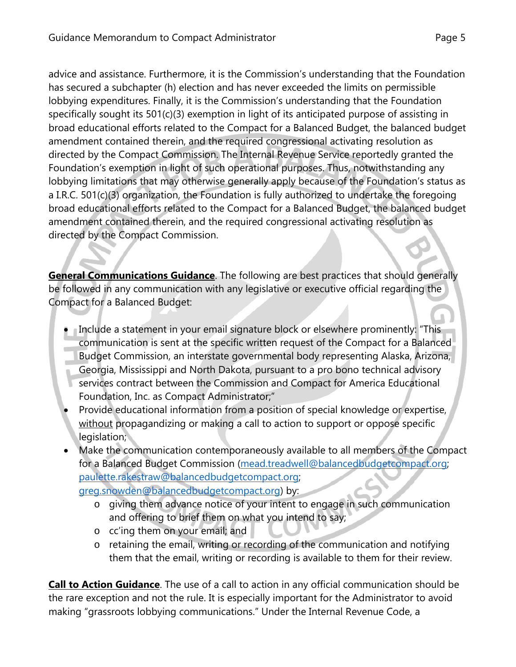advice and assistance. Furthermore, it is the Commission's understanding that the Foundation has secured a subchapter (h) election and has never exceeded the limits on permissible lobbying expenditures. Finally, it is the Commission's understanding that the Foundation specifically sought its 501(c)(3) exemption in light of its anticipated purpose of assisting in broad educational efforts related to the Compact for a Balanced Budget, the balanced budget amendment contained therein, and the required congressional activating resolution as directed by the Compact Commission. The Internal Revenue Service reportedly granted the Foundation's exemption in light of such operational purposes. Thus, notwithstanding any lobbying limitations that may otherwise generally apply because of the Foundation's status as a I.R.C. 501(c)(3) organization, the Foundation is fully authorized to undertake the foregoing broad educational efforts related to the Compact for a Balanced Budget, the balanced budget amendment contained therein, and the required congressional activating resolution as directed by the Compact Commission.

**General Communications Guidance**. The following are best practices that should generally be followed in any communication with any legislative or executive official regarding the Compact for a Balanced Budget:

- Include a statement in your email signature block or elsewhere prominently: "This communication is sent at the specific written request of the Compact for a Balanced Budget Commission, an interstate governmental body representing Alaska, Arizona, Georgia, Mississippi and North Dakota, pursuant to a pro bono technical advisory services contract between the Commission and Compact for America Educational Foundation, Inc. as Compact Administrator;"
- Provide educational information from a position of special knowledge or expertise, without propagandizing or making a call to action to support or oppose specific legislation;
- Make the communication contemporaneously available to all members of the Compact for a Balanced Budget Commission (mead.treadwell@balancedbudgetcompact.org; paulette.rakestraw@balancedbudgetcompact.org; greg.snowden@balancedbudgetcompact.org) by:
	- o giving them advance notice of your intent to engage in such communication and offering to brief them on what you intend to say;
	- o cc'ing them on your email; and
	- o retaining the email, writing or recording of the communication and notifying them that the email, writing or recording is available to them for their review.

**Call to Action Guidance**. The use of a call to action in any official communication should be the rare exception and not the rule. It is especially important for the Administrator to avoid making "grassroots lobbying communications." Under the Internal Revenue Code, a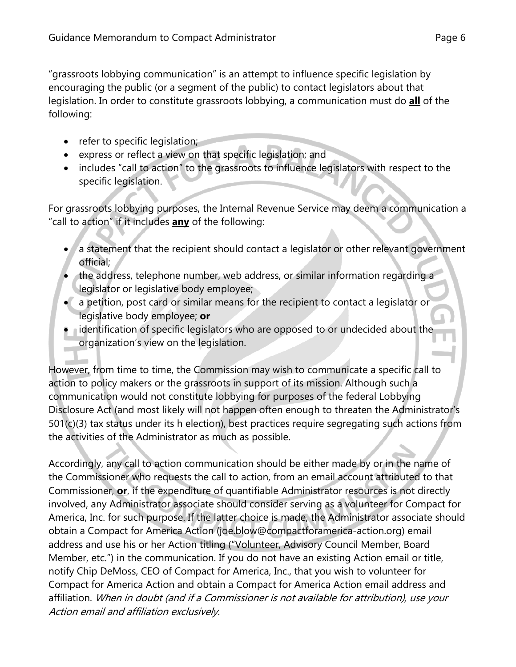"grassroots lobbying communication" is an attempt to influence specific legislation by encouraging the public (or a segment of the public) to contact legislators about that legislation. In order to constitute grassroots lobbying, a communication must do **all** of the following:

- $\bullet$  refer to specific legislation;
- express or reflect a view on that specific legislation; and
- includes "call to action" to the grassroots to influence legislators with respect to the specific legislation.

For grassroots lobbying purposes, the Internal Revenue Service may deem a communication a "call to action" if it includes **any** of the following:

- a statement that the recipient should contact a legislator or other relevant government official;
- the address, telephone number, web address, or similar information regarding a legislator or legislative body employee;
- a petition, post card or similar means for the recipient to contact a legislator or legislative body employee; **or**
- **•** identification of specific legislators who are opposed to or undecided about the organization's view on the legislation.

However, from time to time, the Commission may wish to communicate a specific call to action to policy makers or the grassroots in support of its mission. Although such a communication would not constitute lobbying for purposes of the federal Lobbying Disclosure Act (and most likely will not happen often enough to threaten the Administrator's 501(c)(3) tax status under its h election), best practices require segregating such actions from the activities of the Administrator as much as possible.

Accordingly, any call to action communication should be either made by or in the name of the Commissioner who requests the call to action, from an email account attributed to that Commissioner, **or**, if the expenditure of quantifiable Administrator resources is not directly involved, any Administrator associate should consider serving as a volunteer for Compact for America, Inc. for such purpose. If the latter choice is made, the Administrator associate should obtain a Compact for America Action (joe.blow@compactforamerica-action.org) email address and use his or her Action titling ("Volunteer, Advisory Council Member, Board Member, etc.") in the communication. If you do not have an existing Action email or title, notify Chip DeMoss, CEO of Compact for America, Inc., that you wish to volunteer for Compact for America Action and obtain a Compact for America Action email address and affiliation. When in doubt (and if a Commissioner is not available for attribution), use your Action email and affiliation exclusively.